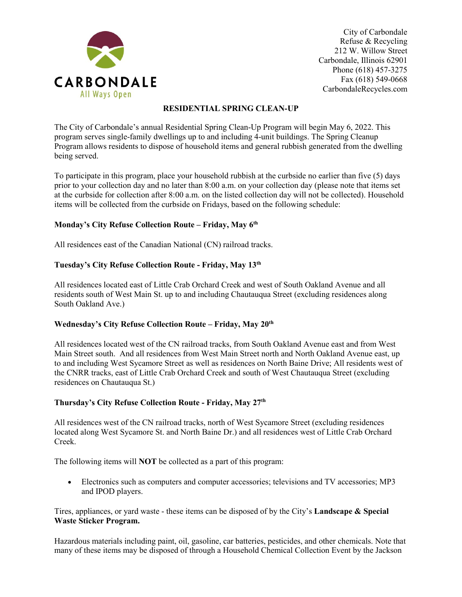

City of Carbondale Refuse & Recycling 212 W. Willow Street Carbondale, Illinois 62901 Phone (618) 457-3275 Fax (618) 549-0668 CarbondaleRecycles.com

# **RESIDENTIAL SPRING CLEAN-UP**

The City of Carbondale's annual Residential Spring Clean-Up Program will begin May 6, 2022. This program serves single-family dwellings up to and including 4-unit buildings. The Spring Cleanup Program allows residents to dispose of household items and general rubbish generated from the dwelling being served.

To participate in this program, place your household rubbish at the curbside no earlier than five (5) days prior to your collection day and no later than 8:00 a.m. on your collection day (please note that items set at the curbside for collection after 8:00 a.m. on the listed collection day will not be collected). Household items will be collected from the curbside on Fridays, based on the following schedule:

# **Monday's City Refuse Collection Route – Friday, May 6th**

All residences east of the Canadian National (CN) railroad tracks.

#### **Tuesday's City Refuse Collection Route - Friday, May 13th**

All residences located east of Little Crab Orchard Creek and west of South Oakland Avenue and all residents south of West Main St. up to and including Chautauqua Street (excluding residences along South Oakland Ave.)

#### **Wednesday's City Refuse Collection Route – Friday, May 20th**

All residences located west of the CN railroad tracks, from South Oakland Avenue east and from West Main Street south. And all residences from West Main Street north and North Oakland Avenue east, up to and including West Sycamore Street as well as residences on North Baine Drive; All residents west of the CNRR tracks, east of Little Crab Orchard Creek and south of West Chautauqua Street (excluding residences on Chautauqua St.)

#### **Thursday's City Refuse Collection Route - Friday, May 27th**

All residences west of the CN railroad tracks, north of West Sycamore Street (excluding residences located along West Sycamore St. and North Baine Dr.) and all residences west of Little Crab Orchard Creek.

The following items will **NOT** be collected as a part of this program:

• Electronics such as computers and computer accessories; televisions and TV accessories; MP3 and IPOD players.

Tires, appliances, or yard waste - these items can be disposed of by the City's **Landscape & Special Waste Sticker Program.**

Hazardous materials including paint, oil, gasoline, car batteries, pesticides, and other chemicals. Note that many of these items may be disposed of through a Household Chemical Collection Event by the Jackson